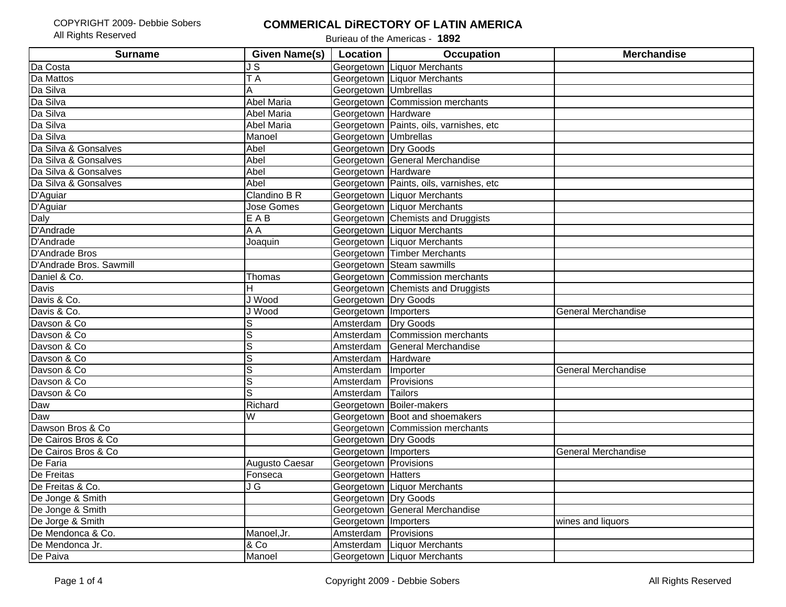## **COMMERICAL DiRECTORY OF LATIN AMERICA**

| <b>Surname</b>          | Given Name(s)             | Location              | <b>Occupation</b>                       | <b>Merchandise</b>         |
|-------------------------|---------------------------|-----------------------|-----------------------------------------|----------------------------|
| Da Costa                | JS                        |                       | Georgetown Liquor Merchants             |                            |
| Da Mattos               | $\overline{\mathsf{T}}$ A |                       | Georgetown Liquor Merchants             |                            |
| Da Silva                | А                         | Georgetown Umbrellas  |                                         |                            |
| Da Silva                | <b>Abel Maria</b>         |                       | Georgetown Commission merchants         |                            |
| Da Silva                | <b>Abel Maria</b>         | Georgetown Hardware   |                                         |                            |
| Da Silva                | <b>Abel Maria</b>         |                       | Georgetown Paints, oils, varnishes, etc |                            |
| Da Silva                | Manoel                    | Georgetown Umbrellas  |                                         |                            |
| Da Silva & Gonsalves    | Abel                      | Georgetown Dry Goods  |                                         |                            |
| Da Silva & Gonsalves    | Abel                      |                       | Georgetown General Merchandise          |                            |
| Da Silva & Gonsalves    | Abel                      | Georgetown Hardware   |                                         |                            |
| Da Silva & Gonsalves    | Abel                      |                       | Georgetown Paints, oils, varnishes, etc |                            |
| D'Aguiar                | Clandino B R              |                       | Georgetown Liquor Merchants             |                            |
| D'Aguiar                | <b>Jose Gomes</b>         |                       | Georgetown Liquor Merchants             |                            |
| Daly                    | EAB                       |                       | Georgetown Chemists and Druggists       |                            |
| D'Andrade               | A A                       |                       | Georgetown Liquor Merchants             |                            |
| <b>D'Andrade</b>        | Joaquin                   |                       | Georgetown Liquor Merchants             |                            |
| D'Andrade Bros          |                           |                       | Georgetown Timber Merchants             |                            |
| D'Andrade Bros. Sawmill |                           |                       | Georgetown Steam sawmills               |                            |
| Daniel & Co.            | Thomas                    |                       | Georgetown Commission merchants         |                            |
| Davis                   | H                         |                       | Georgetown Chemists and Druggists       |                            |
| Davis & Co.             | J Wood                    | Georgetown Dry Goods  |                                         |                            |
| Davis & Co.             | J Wood                    | Georgetown Importers  |                                         | <b>General Merchandise</b> |
| Davson & Co             | S                         | Amsterdam   Dry Goods |                                         |                            |
| Davson & Co             | $\overline{s}$            |                       | Amsterdam Commission merchants          |                            |
| Davson & Co             | S                         | Amsterdam             | <b>General Merchandise</b>              |                            |
| Davson & Co             | S                         | Amsterdam             | Hardware                                |                            |
| Davson & Co             | S                         | Amsterdam   Importer  |                                         | <b>General Merchandise</b> |
| Davson & Co             | $\overline{\mathsf{s}}$   | Amsterdam             | Provisions                              |                            |
| Davson & Co             | $\overline{\mathcal{S}}$  | Amsterdam Tailors     |                                         |                            |
| Daw                     | Richard                   |                       | Georgetown Boiler-makers                |                            |
| Daw                     | W                         |                       | Georgetown Boot and shoemakers          |                            |
| Dawson Bros & Co        |                           |                       | Georgetown Commission merchants         |                            |
| De Cairos Bros & Co     |                           | Georgetown Dry Goods  |                                         |                            |
| De Cairos Bros & Co     |                           | Georgetown Importers  |                                         | <b>General Merchandise</b> |
| De Faria                | <b>Augusto Caesar</b>     | Georgetown Provisions |                                         |                            |
| De Freitas              | Fonseca                   | Georgetown Hatters    |                                         |                            |
| De Freitas & Co.        | J G                       |                       | Georgetown Liquor Merchants             |                            |
| De Jonge & Smith        |                           | Georgetown Dry Goods  |                                         |                            |
| De Jonge & Smith        |                           |                       | Georgetown General Merchandise          |                            |
| De Jorge & Smith        |                           | Georgetown Importers  |                                         | wines and liquors          |
| De Mendonca & Co.       | Manoel, Jr.               | Amsterdam Provisions  |                                         |                            |
| De Mendonca Jr.         | & Co                      |                       | Amsterdam Liquor Merchants              |                            |
| De Paiva                | Manoel                    |                       | Georgetown Liquor Merchants             |                            |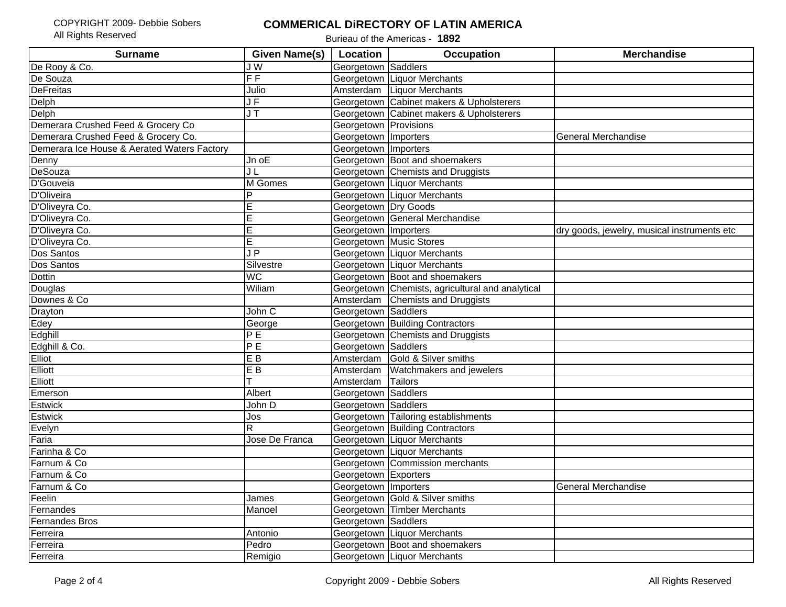## **COMMERICAL DiRECTORY OF LATIN AMERICA**

| <b>Surname</b>                              | Given Name(s)                       | <b>Location</b>       | <b>Occupation</b>                                | <b>Merchandise</b>                          |
|---------------------------------------------|-------------------------------------|-----------------------|--------------------------------------------------|---------------------------------------------|
| De Rooy & Co.                               | J W                                 | Georgetown Saddlers   |                                                  |                                             |
| De Souza                                    | $\overline{\mathsf{FF}}$            |                       | Georgetown Liquor Merchants                      |                                             |
| <b>DeFreitas</b>                            | Julio                               |                       | Amsterdam Liquor Merchants                       |                                             |
| Delph                                       | JF                                  |                       | Georgetown Cabinet makers & Upholsterers         |                                             |
| Delph                                       | J T                                 |                       | Georgetown Cabinet makers & Upholsterers         |                                             |
| Demerara Crushed Feed & Grocery Co          |                                     | Georgetown Provisions |                                                  |                                             |
| Demerara Crushed Feed & Grocery Co.         |                                     | Georgetown Importers  |                                                  | <b>General Merchandise</b>                  |
| Demerara Ice House & Aerated Waters Factory |                                     | Georgetown Importers  |                                                  |                                             |
| Denny                                       | Jn oE                               |                       | Georgetown Boot and shoemakers                   |                                             |
| DeSouza                                     | JL                                  |                       | Georgetown Chemists and Druggists                |                                             |
| D'Gouveia                                   | M Gomes                             |                       | Georgetown Liquor Merchants                      |                                             |
| <b>D'Oliveira</b>                           | Þ                                   |                       | Georgetown Liquor Merchants                      |                                             |
| D'Oliveyra Co.                              | E                                   | Georgetown Dry Goods  |                                                  |                                             |
| D'Oliveyra Co.                              | E                                   |                       | Georgetown General Merchandise                   |                                             |
| D'Oliveyra Co.                              | E                                   | Georgetown Importers  |                                                  | dry goods, jewelry, musical instruments etc |
| D'Oliveyra Co.                              | E                                   |                       | Georgetown Music Stores                          |                                             |
| Dos Santos                                  | $\overline{\mathsf{J}\,\mathsf{P}}$ |                       | Georgetown Liquor Merchants                      |                                             |
| Dos Santos                                  | Silvestre                           |                       | Georgetown Liquor Merchants                      |                                             |
| <b>Dottin</b>                               | <b>WC</b>                           |                       | Georgetown Boot and shoemakers                   |                                             |
| Douglas                                     | Wiliam                              |                       | Georgetown Chemists, agricultural and analytical |                                             |
| Downes & Co                                 |                                     |                       | Amsterdam Chemists and Druggists                 |                                             |
| Drayton                                     | John C                              | Georgetown Saddlers   |                                                  |                                             |
| Edey                                        | George                              |                       | Georgetown Building Contractors                  |                                             |
| Edghill                                     | P E                                 |                       | Georgetown Chemists and Druggists                |                                             |
| Edghill & Co.                               | P E                                 | Georgetown Saddlers   |                                                  |                                             |
| Elliot                                      | $E$ B                               |                       | Amsterdam Gold & Silver smiths                   |                                             |
| Elliott                                     | E B                                 |                       | Amsterdam Watchmakers and jewelers               |                                             |
| Elliott                                     |                                     | Amsterdam             | Tailors                                          |                                             |
| Emerson                                     | Albert                              | Georgetown Saddlers   |                                                  |                                             |
| <b>Estwick</b>                              | John D                              | Georgetown Saddlers   |                                                  |                                             |
| <b>Estwick</b>                              | Jos                                 |                       | Georgetown Tailoring establishments              |                                             |
| Evelyn                                      | R                                   |                       | Georgetown Building Contractors                  |                                             |
| Faria                                       | Jose De Franca                      |                       | Georgetown Liquor Merchants                      |                                             |
| Farinha & Co                                |                                     |                       | Georgetown Liquor Merchants                      |                                             |
| Farnum & Co                                 |                                     |                       | Georgetown Commission merchants                  |                                             |
| Farnum & Co                                 |                                     | Georgetown Exporters  |                                                  |                                             |
| Farnum & Co                                 |                                     | Georgetown Importers  |                                                  | <b>General Merchandise</b>                  |
| Feelin                                      | <b>James</b>                        |                       | Georgetown Gold & Silver smiths                  |                                             |
| Fernandes                                   | Manoel                              |                       | Georgetown Timber Merchants                      |                                             |
| <b>Fernandes Bros</b>                       |                                     | Georgetown Saddlers   |                                                  |                                             |
| Ferreira                                    | Antonio                             |                       | Georgetown Liquor Merchants                      |                                             |
| Ferreira                                    | Pedro                               |                       | Georgetown Boot and shoemakers                   |                                             |
| Ferreira                                    | Remigio                             |                       | Georgetown Liquor Merchants                      |                                             |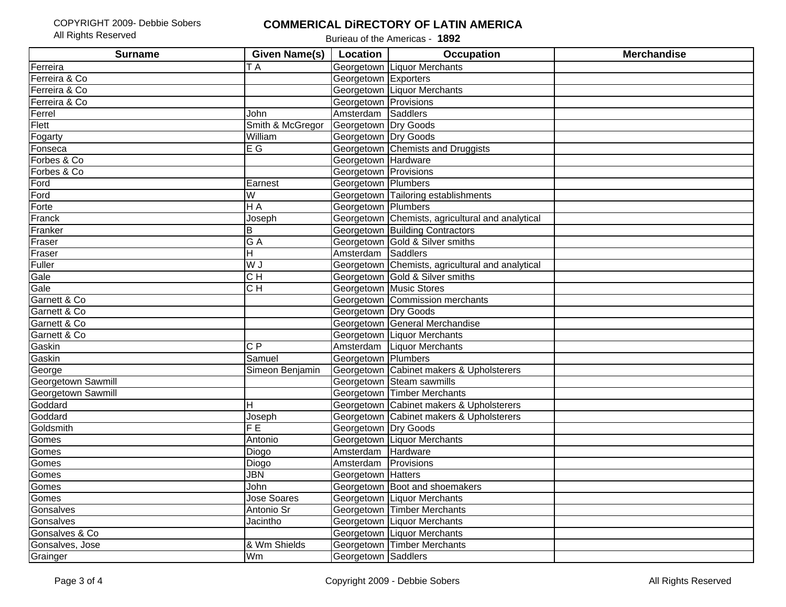## **COMMERICAL DiRECTORY OF LATIN AMERICA**

| <b>Surname</b>            | <b>Given Name(s)</b> | Location              | <b>Occupation</b>                                | <b>Merchandise</b> |
|---------------------------|----------------------|-----------------------|--------------------------------------------------|--------------------|
| Ferreira                  | ΓА                   |                       | Georgetown Liquor Merchants                      |                    |
| Ferreira & Co             |                      | Georgetown Exporters  |                                                  |                    |
| Ferreira & Co             |                      |                       | Georgetown Liquor Merchants                      |                    |
| Ferreira & Co             |                      | Georgetown Provisions |                                                  |                    |
| Ferrel                    | John                 | Amsterdam Saddlers    |                                                  |                    |
| Flett                     | Smith & McGregor     | Georgetown Dry Goods  |                                                  |                    |
| Fogarty                   | William              | Georgetown Dry Goods  |                                                  |                    |
| Fonseca                   | E G                  |                       | Georgetown Chemists and Druggists                |                    |
| Forbes & Co               |                      | Georgetown Hardware   |                                                  |                    |
| Forbes & Co               |                      | Georgetown Provisions |                                                  |                    |
| Ford                      | Earnest              | Georgetown Plumbers   |                                                  |                    |
| Ford                      | W                    |                       | Georgetown Tailoring establishments              |                    |
| Forte                     | H A                  | Georgetown Plumbers   |                                                  |                    |
| Franck                    | Joseph               |                       | Georgetown Chemists, agricultural and analytical |                    |
| Franker                   | B                    |                       | <b>Georgetown Building Contractors</b>           |                    |
| Fraser                    | G A                  |                       | Georgetown Gold & Silver smiths                  |                    |
| Fraser                    | H                    | Amsterdam Saddlers    |                                                  |                    |
| Fuller                    | U W                  |                       | Georgetown Chemists, agricultural and analytical |                    |
| Gale                      | $C$ H                |                       | Georgetown Gold & Silver smiths                  |                    |
| Gale                      | $\overline{C}$       |                       | Georgetown Music Stores                          |                    |
| Garnett & Co              |                      |                       | Georgetown Commission merchants                  |                    |
| Garnett & Co              |                      | Georgetown Dry Goods  |                                                  |                    |
| Garnett & Co              |                      |                       | Georgetown General Merchandise                   |                    |
| Garnett & Co              |                      |                       | Georgetown Liquor Merchants                      |                    |
| Gaskin                    | CP                   |                       | Amsterdam Liquor Merchants                       |                    |
| Gaskin                    | Samuel               | Georgetown Plumbers   |                                                  |                    |
| George                    | Simeon Benjamin      |                       | Georgetown Cabinet makers & Upholsterers         |                    |
| Georgetown Sawmill        |                      |                       | Georgetown Steam sawmills                        |                    |
| <b>Georgetown Sawmill</b> |                      |                       | Georgetown Timber Merchants                      |                    |
| Goddard                   | lH.                  |                       | Georgetown Cabinet makers & Upholsterers         |                    |
| Goddard                   | Joseph               |                       | Georgetown Cabinet makers & Upholsterers         |                    |
| Goldsmith                 | FE                   | Georgetown Dry Goods  |                                                  |                    |
| Gomes                     | Antonio              |                       | Georgetown Liquor Merchants                      |                    |
| Gomes                     | Diogo                | Amsterdam Hardware    |                                                  |                    |
| Gomes                     | Diogo                | Amsterdam Provisions  |                                                  |                    |
| Gomes                     | JBN                  | Georgetown Hatters    |                                                  |                    |
| Gomes                     | John                 |                       | Georgetown Boot and shoemakers                   |                    |
| Gomes                     | <b>Jose Soares</b>   |                       | Georgetown Liquor Merchants                      |                    |
| Gonsalves                 | Antonio Sr           |                       | Georgetown Timber Merchants                      |                    |
| Gonsalves                 | Jacintho             |                       | Georgetown Liquor Merchants                      |                    |
| Gonsalves & Co            |                      |                       | Georgetown Liquor Merchants                      |                    |
| Gonsalves, Jose           | & Wm Shields         |                       | Georgetown Timber Merchants                      |                    |
| Grainger                  | Wm                   | Georgetown Saddlers   |                                                  |                    |